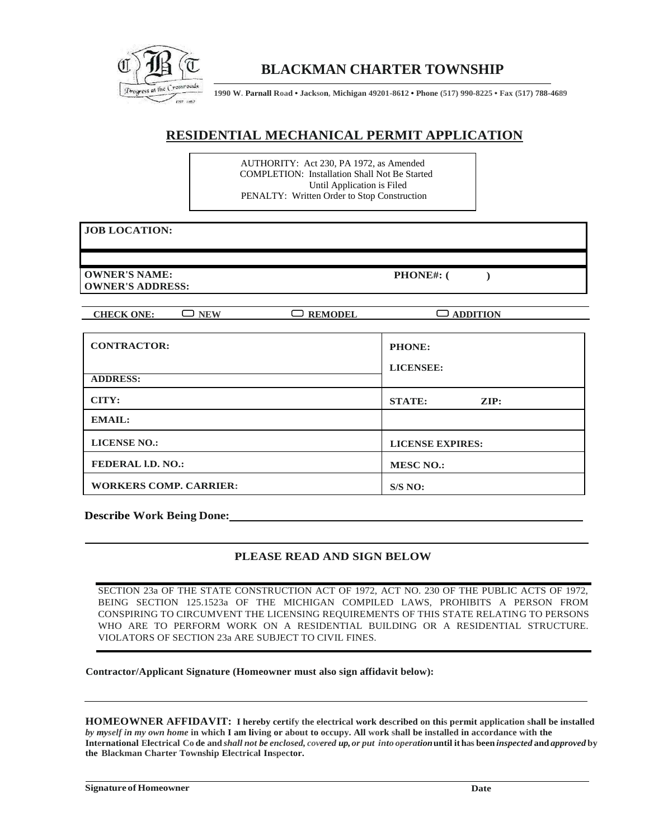

## **BLACKMAN CHARTER TOWNSHIP**

**1990 W. Parnall Road • Jackson, Michigan 49201-8612 • Phone (517) 990-8225 • Fax (517) 788-4689**

### **RESIDENTIAL MECHANICAL PERMIT APPLICATION**

AUTHORITY: Act 230, PA 1972, as Amended COMPLETION: Installation Shall Not Be Started Until Application is Filed PENALTY: Written Order to Stop Construction

#### **JOB LOCATION:**

**OWNER'S NAME: OWNER'S ADDRESS:**

**PHONE#: ( )**

**CHECK ONE:**  $\Box$  **NEW**  $\Box$  **REMODEL**  $\Box$  **ADDITION** 

| <b>CONTRACTOR:</b><br><b>ADDRESS:</b> | PHONE:<br><b>LICENSEE:</b>       |  |  |
|---------------------------------------|----------------------------------|--|--|
| CITY:                                 | <b>STATE:</b><br>$\mathbf{ZIP:}$ |  |  |
| <b>EMAIL:</b>                         |                                  |  |  |
| <b>LICENSE NO.:</b>                   | <b>LICENSE EXPIRES:</b>          |  |  |
| <b>FEDERAL I.D. NO.:</b>              | <b>MESC NO.:</b>                 |  |  |
| <b>WORKERS COMP. CARRIER:</b>         | S/S NO:                          |  |  |

**Describe Work Being Done:**

#### **PLEASE READ AND SIGN BELOW**

SECTION 23a OF THE STATE CONSTRUCTION ACT OF 1972, ACT NO. 230 OF THE PUBLIC ACTS OF 1972, BEING SECTION 125.1523a OF THE MICHIGAN COMPILED LAWS, PROHIBITS A PERSON FROM CONSPIRING TO CIRCUMVENT THE LICENSING REQUIREMENTS OF THIS STATE RELATING TO PERSONS WHO ARE TO PERFORM WORK ON A RESIDENTIAL BUILDING OR A RESIDENTIAL STRUCTURE. VIOLATORS OF SECTION 23a ARE SUBJECT TO CIVIL FINES.

**Contractor/Applicant Signature (Homeowner must also sign affidavit below):**

**HOMEOWNER AFFIDAVIT: I hereby certify the electrical work described on this permit application shall be installed**  *by myself in my own home* **in which I am living or about to occupy. All work shall be installed in accordance with the**  International Electrical Code and shall not be enclosed, covered up, or put into operation until it has been inspected and approved by **the Blackman Charter Township Electrical Inspector.**